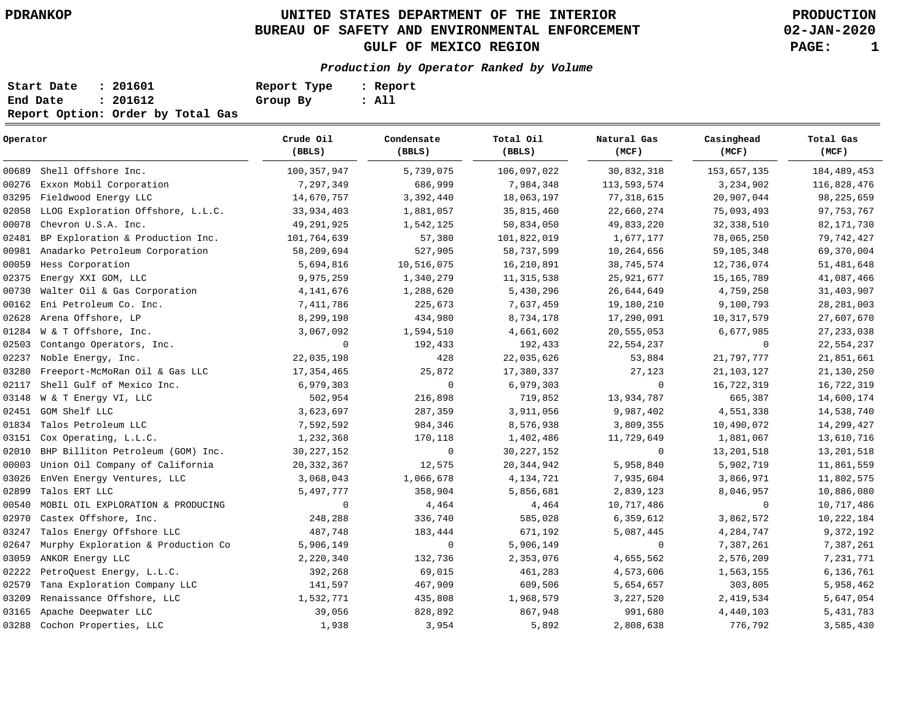# **UNITED STATES DEPARTMENT OF THE INTERIOR PDRANKOP PRODUCTION BUREAU OF SAFETY AND ENVIRONMENTAL ENFORCEMENT GULF OF MEXICO REGION PAGE: 1**

**02-JAN-2020**

#### **Production by Operator Ranked by Volume**

| Start Date | : 201601                          | Report Type | : Report |
|------------|-----------------------------------|-------------|----------|
| End Date   | : 201612                          | Group By    | : All    |
|            | Report Option: Order by Total Gas |             |          |

| Operator |                                    | Crude Oil<br>(BBLS) | Condensate<br>(BBLS) | Total Oil<br>(BBLS) | Natural Gas<br>(MCF) | Casinghead<br>(MCF) | Total Gas<br>(MCF) |  |
|----------|------------------------------------|---------------------|----------------------|---------------------|----------------------|---------------------|--------------------|--|
| 00689    | Shell Offshore Inc.                | 100, 357, 947       | 5,739,075            | 106,097,022         | 30,832,318           | 153,657,135         | 184, 489, 453      |  |
| 00276    | Exxon Mobil Corporation            | 7,297,349           | 686,999              | 7,984,348           | 113,593,574          | 3,234,902           | 116,828,476        |  |
| 03295    | Fieldwood Energy LLC               | 14,670,757          | 3,392,440            | 18,063,197          | 77, 318, 615         | 20,907,044          | 98, 225, 659       |  |
| 02058    | LLOG Exploration Offshore, L.L.C.  | 33,934,403          | 1,881,057            | 35,815,460          | 22,660,274           | 75,093,493          | 97, 753, 767       |  |
| 00078    | Chevron U.S.A. Inc.                | 49,291,925          | 1,542,125            | 50,834,050          | 49,833,220           | 32, 338, 510        | 82,171,730         |  |
| 02481    | BP Exploration & Production Inc.   | 101,764,639         | 57,380               | 101,822,019         | 1,677,177            | 78,065,250          | 79,742,427         |  |
| 00981    | Anadarko Petroleum Corporation     | 58,209,694          | 527,905              | 58,737,599          | 10,264,656           | 59,105,348          | 69,370,004         |  |
| 00059    | Hess Corporation                   | 5,694,816           | 10,516,075           | 16,210,891          | 38,745,574           | 12,736,074          | 51, 481, 648       |  |
| 02375    | Energy XXI GOM, LLC                | 9,975,259           | 1,340,279            | 11, 315, 538        | 25,921,677           | 15, 165, 789        | 41,087,466         |  |
| 00730    | Walter Oil & Gas Corporation       | 4, 141, 676         | 1,288,620            | 5,430,296           | 26,644,649           | 4,759,258           | 31,403,907         |  |
| 00162    | Eni Petroleum Co. Inc.             | 7,411,786           | 225,673              | 7,637,459           | 19,180,210           | 9,100,793           | 28, 281, 003       |  |
| 02628    | Arena Offshore, LP                 | 8,299,198           | 434,980              | 8,734,178           | 17,290,091           | 10,317,579          | 27,607,670         |  |
| 01284    | W & T Offshore, Inc.               | 3,067,092           | 1,594,510            | 4,661,602           | 20,555,053           | 6,677,985           | 27, 233, 038       |  |
| 02503    | Contango Operators, Inc.           | 0                   | 192,433              | 192,433             | 22,554,237           | $\mathbf 0$         | 22,554,237         |  |
| 02237    | Noble Energy, Inc.                 | 22,035,198          | 428                  | 22,035,626          | 53,884               | 21,797,777          | 21,851,661         |  |
| 03280    | Freeport-McMoRan Oil & Gas LLC     | 17, 354, 465        | 25,872               | 17,380,337          | 27,123               | 21, 103, 127        | 21,130,250         |  |
| 02117    | Shell Gulf of Mexico Inc.          | 6,979,303           | $\mathbf 0$          | 6,979,303           | $\mathbf 0$          | 16,722,319          | 16,722,319         |  |
| 03148    | W & T Energy VI, LLC               | 502,954             | 216,898              | 719,852             | 13,934,787           | 665,387             | 14,600,174         |  |
| 02451    | GOM Shelf LLC                      | 3,623,697           | 287,359              | 3,911,056           | 9,987,402            | 4,551,338           | 14,538,740         |  |
| 01834    | Talos Petroleum LLC                | 7,592,592           | 984,346              | 8,576,938           | 3,809,355            | 10,490,072          | 14,299,427         |  |
|          | 03151 Cox Operating, L.L.C.        | 1,232,368           | 170,118              | 1,402,486           | 11,729,649           | 1,881,067           | 13,610,716         |  |
| 02010    | BHP Billiton Petroleum (GOM) Inc.  | 30, 227, 152        | $\mathbf 0$          | 30, 227, 152        | $\mathbf 0$          | 13,201,518          | 13, 201, 518       |  |
| 00003    | Union Oil Company of California    | 20, 332, 367        | 12,575               | 20, 344, 942        | 5,958,840            | 5,902,719           | 11,861,559         |  |
| 03026    | EnVen Energy Ventures, LLC         | 3,068,043           | 1,066,678            | 4,134,721           | 7,935,604            | 3,866,971           | 11,802,575         |  |
| 02899    | Talos ERT LLC                      | 5,497,777           | 358,904              | 5,856,681           | 2,839,123            | 8,046,957           | 10,886,080         |  |
| 00540    | MOBIL OIL EXPLORATION & PRODUCING  | 0                   | 4,464                | 4,464               | 10,717,486           | 0                   | 10,717,486         |  |
| 02970    | Castex Offshore, Inc.              | 248,288             | 336,740              | 585,028             | 6,359,612            | 3,862,572           | 10, 222, 184       |  |
| 03247    | Talos Energy Offshore LLC          | 487,748             | 183,444              | 671,192             | 5,087,445            | 4,284,747           | 9,372,192          |  |
| 02647    | Murphy Exploration & Production Co | 5,906,149           | $\mathbf 0$          | 5,906,149           | 0                    | 7,387,261           | 7,387,261          |  |
| 03059    | ANKOR Energy LLC                   | 2,220,340           | 132,736              | 2,353,076           | 4,655,562            | 2,576,209           | 7,231,771          |  |
| 02222    | PetroQuest Energy, L.L.C.          | 392,268             | 69,015               | 461,283             | 4,573,606            | 1,563,155           | 6,136,761          |  |
| 02579    | Tana Exploration Company LLC       | 141,597             | 467,909              | 609,506             | 5,654,657            | 303,805             | 5,958,462          |  |
| 03209    | Renaissance Offshore, LLC          | 1,532,771           | 435,808              | 1,968,579           | 3, 227, 520          | 2,419,534           | 5,647,054          |  |
| 03165    | Apache Deepwater LLC               | 39,056              | 828,892              | 867,948             | 991,680              | 4,440,103           | 5, 431, 783        |  |
| 03288    | Cochon Properties, LLC             | 1,938               | 3,954                | 5,892               | 2,808,638            | 776,792             | 3,585,430          |  |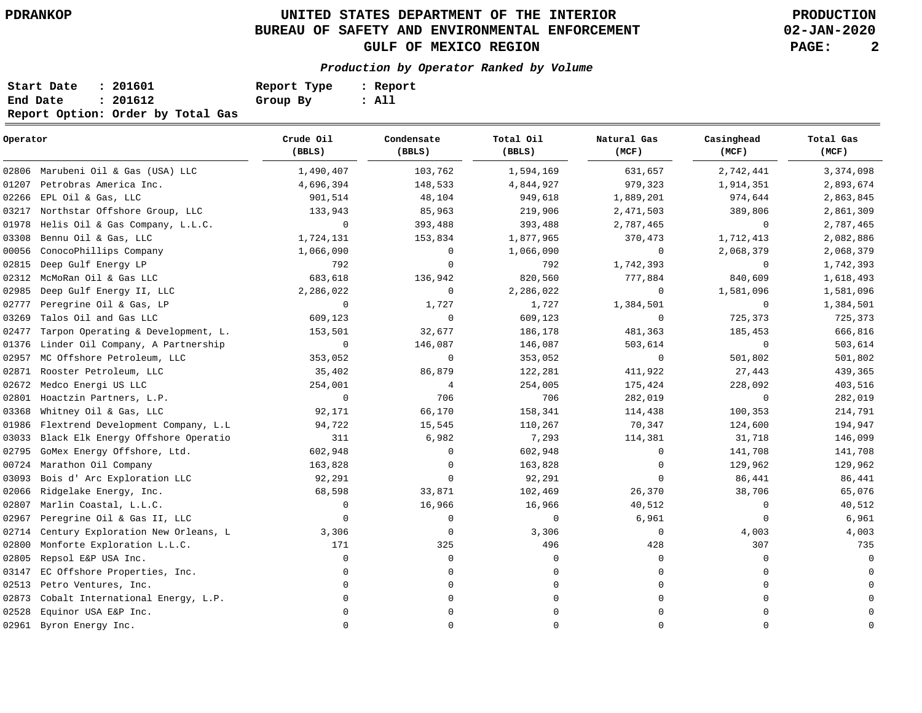# **UNITED STATES DEPARTMENT OF THE INTERIOR PDRANKOP PRODUCTION BUREAU OF SAFETY AND ENVIRONMENTAL ENFORCEMENT GULF OF MEXICO REGION PAGE: 2**

**02-JAN-2020**

**Production by Operator Ranked by Volume**

| Start Date | : 201601                          | Report Type | : Report |
|------------|-----------------------------------|-------------|----------|
| End Date   | : 201612                          | Group By    | : All    |
|            | Report Option: Order by Total Gas |             |          |

| Operator |                                    | Crude Oil<br>(BBLS) | Condensate<br>(BBLS) | Total Oil<br>(BBLS) | Natural Gas<br>(MCF) | Casinghead<br>(MCF) | Total Gas<br>(MCF) |  |
|----------|------------------------------------|---------------------|----------------------|---------------------|----------------------|---------------------|--------------------|--|
|          | 02806 Marubeni Oil & Gas (USA) LLC | 1,490,407           | 103,762              | 1,594,169           | 631,657              | 2,742,441           | 3,374,098          |  |
| 01207    | Petrobras America Inc.             | 4,696,394           | 148,533              | 4,844,927           | 979,323              | 1,914,351           | 2,893,674          |  |
| 02266    | EPL Oil & Gas, LLC                 | 901,514             | 48,104               | 949,618             | 1,889,201            | 974,644             | 2,863,845          |  |
| 03217    | Northstar Offshore Group, LLC      | 133,943             | 85,963               | 219,906             | 2,471,503            | 389,806             | 2,861,309          |  |
| 01978    | Helis Oil & Gas Company, L.L.C.    | $\mathbf 0$         | 393,488              | 393,488             | 2,787,465            | 0                   | 2,787,465          |  |
| 03308    | Bennu Oil & Gas, LLC               | 1,724,131           | 153,834              | 1,877,965           | 370,473              | 1,712,413           | 2,082,886          |  |
| 00056    | ConocoPhillips Company             | 1,066,090           | 0                    | 1,066,090           | $\mathbf 0$          | 2,068,379           | 2,068,379          |  |
| 02815    | Deep Gulf Energy LP                | 792                 | 0                    | 792                 | 1,742,393            | 0                   | 1,742,393          |  |
| 02312    | McMoRan Oil & Gas LLC              | 683,618             | 136,942              | 820,560             | 777,884              | 840,609             | 1,618,493          |  |
| 02985    | Deep Gulf Energy II, LLC           | 2,286,022           | 0                    | 2,286,022           | 0                    | 1,581,096           | 1,581,096          |  |
| 02777    | Peregrine Oil & Gas, LP            | $\mathbf 0$         | 1,727                | 1,727               | 1,384,501            | 0                   | 1,384,501          |  |
| 03269    | Talos Oil and Gas LLC              | 609,123             | 0                    | 609,123             | 0                    | 725,373             | 725,373            |  |
| 02477    | Tarpon Operating & Development, L. | 153,501             | 32,677               | 186,178             | 481,363              | 185,453             | 666,816            |  |
| 01376    | Linder Oil Company, A Partnership  | 0                   | 146,087              | 146,087             | 503,614              | 0                   | 503,614            |  |
| 02957    | MC Offshore Petroleum, LLC         | 353,052             | $\mathbf 0$          | 353,052             | $\mathbf 0$          | 501,802             | 501,802            |  |
| 02871    | Rooster Petroleum, LLC             | 35,402              | 86,879               | 122,281             | 411,922              | 27,443              | 439,365            |  |
| 02672    | Medco Energi US LLC                | 254,001             | 4                    | 254,005             | 175,424              | 228,092             | 403,516            |  |
| 02801    | Hoactzin Partners, L.P.            | $\mathbf 0$         | 706                  | 706                 | 282,019              | 0                   | 282,019            |  |
| 03368    | Whitney Oil & Gas, LLC             | 92,171              | 66,170               | 158,341             | 114,438              | 100,353             | 214,791            |  |
| 01986    | Flextrend Development Company, L.L | 94,722              | 15,545               | 110,267             | 70,347               | 124,600             | 194,947            |  |
| 03033    | Black Elk Energy Offshore Operatio | 311                 | 6,982                | 7,293               | 114,381              | 31,718              | 146,099            |  |
| 02795    | GoMex Energy Offshore, Ltd.        | 602,948             | 0                    | 602,948             | $\Omega$             | 141,708             | 141,708            |  |
| 00724    | Marathon Oil Company               | 163,828             | 0                    | 163,828             | $\mathbf 0$          | 129,962             | 129,962            |  |
| 03093    | Bois d' Arc Exploration LLC        | 92,291              | 0                    | 92,291              | 0                    | 86,441              | 86,441             |  |
| 02066    | Ridgelake Energy, Inc.             | 68,598              | 33,871               | 102,469             | 26,370               | 38,706              | 65,076             |  |
| 02807    | Marlin Coastal, L.L.C.             | 0                   | 16,966               | 16,966              | 40,512               | 0                   | 40,512             |  |
| 02967    | Peregrine Oil & Gas II, LLC        | 0                   | 0                    | $\mathbf 0$         | 6,961                | 0                   | 6,961              |  |
| 02714    | Century Exploration New Orleans, L | 3,306               | 0                    | 3,306               | $\mathbf 0$          | 4,003               | 4,003              |  |
| 02800    | Monforte Exploration L.L.C.        | 171                 | 325                  | 496                 | 428                  | 307                 | 735                |  |
| 02805    | Repsol E&P USA Inc.                | 0                   | 0                    | 0                   | $\Omega$             | $\Omega$            | $\cap$             |  |
| 03147    | EC Offshore Properties, Inc.       | $\mathbf 0$         | 0                    | 0                   | $\Omega$             | $\Omega$            |                    |  |
| 02513    | Petro Ventures, Inc.               | $\Omega$            | 0                    | $\mathbf 0$         |                      | $\Omega$            |                    |  |
| 02873    | Cobalt International Energy, L.P.  | $\mathbf 0$         | 0                    | 0                   |                      | $\Omega$            |                    |  |
| 02528    | Equinor USA E&P Inc.               | $\Omega$            | <sup>0</sup>         | $\mathbf 0$         |                      | $\Omega$            |                    |  |
|          | 02961 Byron Energy Inc.            | $\Omega$            | 0                    | $\mathbf 0$         | $\Omega$             | $\Omega$            | $\Omega$           |  |